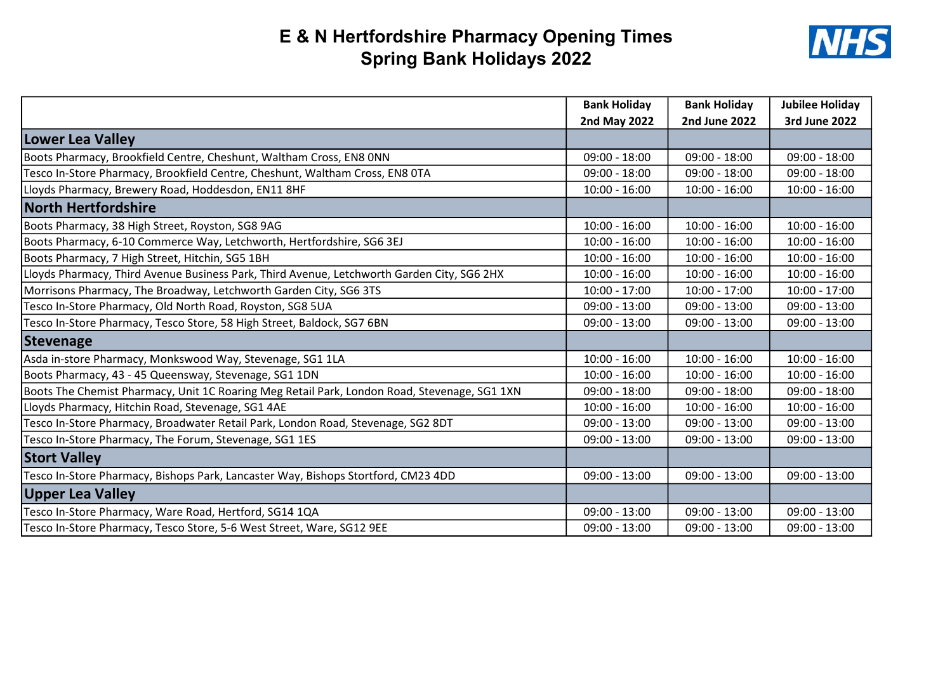## E & N Hertfordshire Pharmacy Opening Times Spring Bank Holidays 2022



|                                                                                              | <b>Bank Holiday</b> | <b>Bank Holiday</b>  | <b>Jubilee Holiday</b> |
|----------------------------------------------------------------------------------------------|---------------------|----------------------|------------------------|
|                                                                                              | <b>2nd May 2022</b> | <b>2nd June 2022</b> | <b>3rd June 2022</b>   |
| Lower Lea Valley                                                                             |                     |                      |                        |
| Boots Pharmacy, Brookfield Centre, Cheshunt, Waltham Cross, EN8 ONN                          | $09:00 - 18:00$     | $09:00 - 18:00$      | $09:00 - 18:00$        |
| Tesco In-Store Pharmacy, Brookfield Centre, Cheshunt, Waltham Cross, EN8 0TA                 | $09:00 - 18:00$     | $09:00 - 18:00$      | $09:00 - 18:00$        |
| Lloyds Pharmacy, Brewery Road, Hoddesdon, EN11 8HF                                           | $10:00 - 16:00$     | $10:00 - 16:00$      | $10:00 - 16:00$        |
| <b>North Hertfordshire</b>                                                                   |                     |                      |                        |
| Boots Pharmacy, 38 High Street, Royston, SG8 9AG                                             | $10:00 - 16:00$     | $10:00 - 16:00$      | $10:00 - 16:00$        |
| Boots Pharmacy, 6-10 Commerce Way, Letchworth, Hertfordshire, SG6 3EJ                        | $10:00 - 16:00$     | $10:00 - 16:00$      | $10:00 - 16:00$        |
| Boots Pharmacy, 7 High Street, Hitchin, SG5 1BH                                              | $10:00 - 16:00$     | $10:00 - 16:00$      | $10:00 - 16:00$        |
| Lloyds Pharmacy, Third Avenue Business Park, Third Avenue, Letchworth Garden City, SG6 2HX   | $10:00 - 16:00$     | $10:00 - 16:00$      | $10:00 - 16:00$        |
| Morrisons Pharmacy, The Broadway, Letchworth Garden City, SG6 3TS                            | $10:00 - 17:00$     | $10:00 - 17:00$      | $10:00 - 17:00$        |
| Tesco In-Store Pharmacy, Old North Road, Royston, SG8 5UA                                    | $09:00 - 13:00$     | $09:00 - 13:00$      | $09:00 - 13:00$        |
| Tesco In-Store Pharmacy, Tesco Store, 58 High Street, Baldock, SG7 6BN                       | $09:00 - 13:00$     | $09:00 - 13:00$      | $09:00 - 13:00$        |
| Stevenage                                                                                    |                     |                      |                        |
| Asda in-store Pharmacy, Monkswood Way, Stevenage, SG1 1LA                                    | $10:00 - 16:00$     | $10:00 - 16:00$      | $10:00 - 16:00$        |
| Boots Pharmacy, 43 - 45 Queensway, Stevenage, SG1 1DN                                        | $10:00 - 16:00$     | $10:00 - 16:00$      | $10:00 - 16:00$        |
| Boots The Chemist Pharmacy, Unit 1C Roaring Meg Retail Park, London Road, Stevenage, SG1 1XN | $09:00 - 18:00$     | $09:00 - 18:00$      | $09:00 - 18:00$        |
| Lloyds Pharmacy, Hitchin Road, Stevenage, SG1 4AE                                            | $10:00 - 16:00$     | $10:00 - 16:00$      | $10:00 - 16:00$        |
| Tesco In-Store Pharmacy, Broadwater Retail Park, London Road, Stevenage, SG2 8DT             | $09:00 - 13:00$     | $09:00 - 13:00$      | $09:00 - 13:00$        |
| Tesco In-Store Pharmacy, The Forum, Stevenage, SG1 1ES                                       | $09:00 - 13:00$     | $09:00 - 13:00$      | $09:00 - 13:00$        |
| <b>Stort Valley</b>                                                                          |                     |                      |                        |
| Tesco In-Store Pharmacy, Bishops Park, Lancaster Way, Bishops Stortford, CM23 4DD            | $09:00 - 13:00$     | $09:00 - 13:00$      | $09:00 - 13:00$        |
| Upper Lea Valley                                                                             |                     |                      |                        |
| Tesco In-Store Pharmacy, Ware Road, Hertford, SG14 1QA                                       | $09:00 - 13:00$     | $09:00 - 13:00$      | $09:00 - 13:00$        |
| Tesco In-Store Pharmacy, Tesco Store, 5-6 West Street, Ware, SG12 9EE                        | $09:00 - 13:00$     | $09:00 - 13:00$      | $09:00 - 13:00$        |